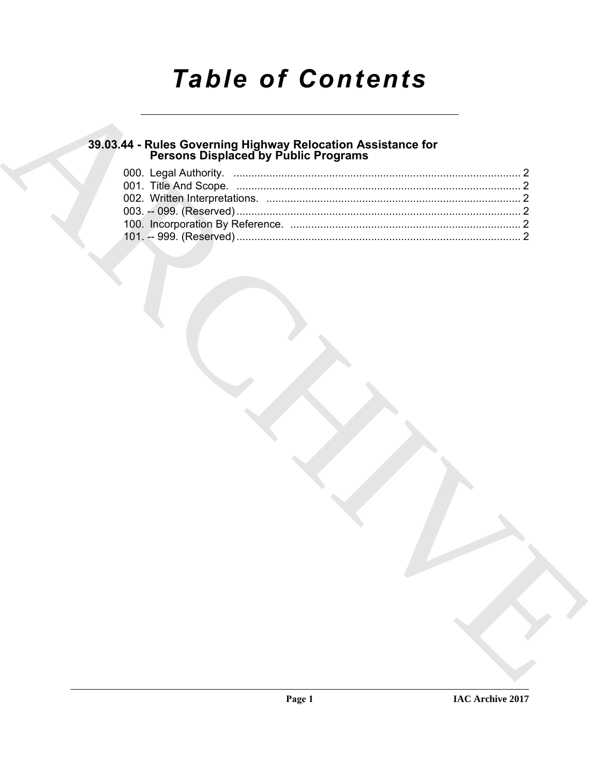# **Table of Contents**

# 39.03.44 - Rules Governing Highway Relocation Assistance for<br>Persons Displaced by Public Programs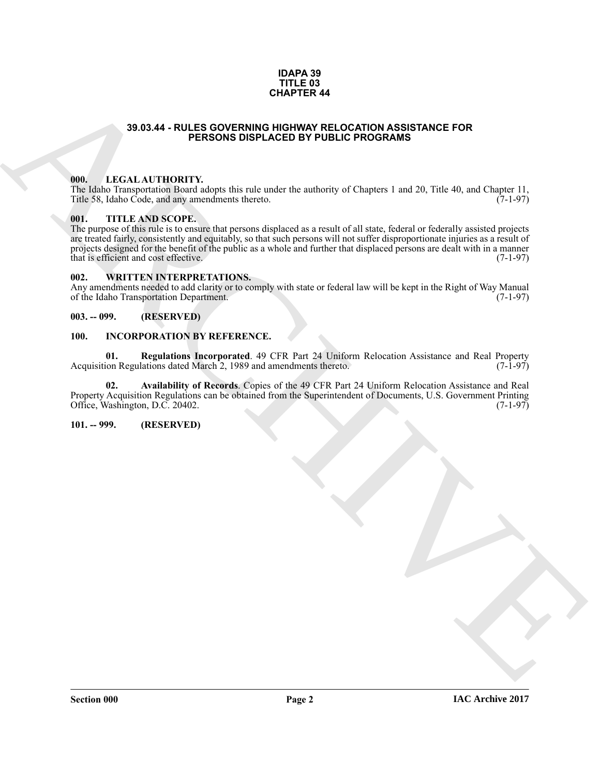#### **IDAPA 39 TITLE 03 CHAPTER 44**

### **39.03.44 - RULES GOVERNING HIGHWAY RELOCATION ASSISTANCE FOR PERSONS DISPLACED BY PUBLIC PROGRAMS**

### <span id="page-1-1"></span><span id="page-1-0"></span>**000. LEGAL AUTHORITY.**

The Idaho Transportation Board adopts this rule under the authority of Chapters 1 and 20, Title 40, and Chapter 11,<br>Title 58, Idaho Code, and any amendments thereto. (7-1-97) Title 58, Idaho Code, and any amendments thereto.

#### <span id="page-1-2"></span>**001. TITLE AND SCOPE.**

**SHOLA4 - RULES OOVERING THE MANUFER COORDINATION ASSISTANCE FOR<br>
IEEE, ALAAL ALITHORITY,**<br>
1968 - LA ARCHIVE COORDINATION CONTINUES INTO A CONTINUES IN A CONTINUES IN A CONTINUES IN A CONTINUES IN A CONTINUES IN A CONTIN The purpose of this rule is to ensure that persons displaced as a result of all state, federal or federally assisted projects are treated fairly, consistently and equitably, so that such persons will not suffer disproportionate injuries as a result of projects designed for the benefit of the public as a whole and further that displaced persons are dealt with in a manner<br>that is efficient and cost effective. (7-1-97) that is efficient and cost effective.

#### <span id="page-1-3"></span>**002. WRITTEN INTERPRETATIONS.**

Any amendments needed to add clarity or to comply with state or federal law will be kept in the Right of Way Manual of the Idaho Transportation Department. (7-1-97) of the Idaho Transportation Department.

#### <span id="page-1-4"></span>**003. -- 099. (RESERVED)**

#### <span id="page-1-7"></span><span id="page-1-5"></span>**100. INCORPORATION BY REFERENCE.**

**01. Regulations Incorporated**. 49 CFR Part 24 Uniform Relocation Assistance and Real Property Acquisition Regulations dated March 2, 1989 and amendments thereto.

**02. Availability of Records**. Copies of the 49 CFR Part 24 Uniform Relocation Assistance and Real Property Acquisition Regulations can be obtained from the Superintendent of Documents, U.S. Government Printing Office, Washington, D.C. 20402. (7-1-97)

#### <span id="page-1-6"></span>**101. -- 999. (RESERVED)**